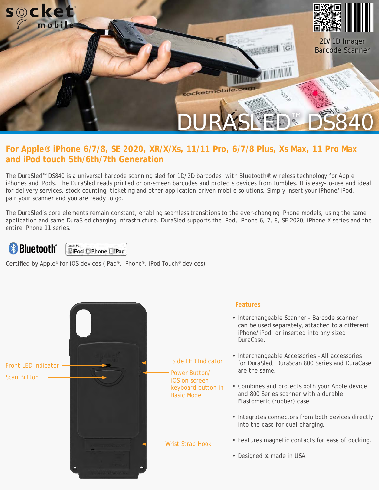

#### **For Apple® iPhone 6/7/8, SE 2020, XR/X/Xs, 11/11 Pro, 6/7/8 Plus, Xs Max, 11 Pro Max and iPod touch 5th/6th/7th Generation**

The DuraSled™ DS840 is a universal barcode scanning sled for 1D/2D barcodes, with Bluetooth® wireless technology for Apple iPhones and iPods. The DuraSled reads printed or on-screen barcodes and protects devices from tumbles. It is easy-to-use and ideal for delivery services, stock counting, ticketing and other application-driven mobile solutions. Simply insert your iPhone/iPod, pair your scanner and you are ready to go.

The DuraSled's core elements remain constant, enabling seamless transitions to the ever-changing iPhone models, using the same application and same DuraSled charging infrastructure. DuraSled supports the iPod, iPhone 6, 7, 8, SE 2020, iPhone X series and the entire iPhone 11 series.

# **& Bluetooth**®

# $\begin{array}{|l|} \hline \textbf{Made for} \\ \hline \textbf{N} \textbf{i} \textbf{Pod} \hspace{0.1cm} \textbf{D} \textbf{i} \textbf{Phone} \hspace{0.1cm} \textbf{DiPad} \end{array}$

Certified by Apple® for iOS devices (iPad®, iPhone®, iPod Touch® devices)

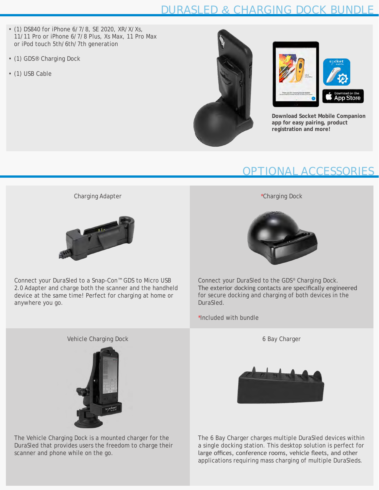### DURASLED & CHARGING DOCK BUNDLE

- (1) DS840 for iPhone 6/7/8, SE 2020, XR/X/Xs, 11/11 Pro or iPhone 6/7/8 Plus, Xs Max, 11 Pro Max or iPod touch 5th/6th/7th generation
- (1) GDS® Charging Dock
- (1) USB Cable





**Download Socket Mobile Companion app for easy pairing, product registration and more!**

#### OPTIONAL ACCESSORIES

Charging Adapter



Connect your DuraSled to a Snap-Con™ GDS to Micro USB 2.0 Adapter and charge both the scanner and the handheld device at the same time! Perfect for charging at home or anywhere you go.

\*Charging Dock



Connect your DuraSled to the GDS® Charging Dock. The exterior docking contacts are specifically engineered for secure docking and charging of both devices in the DuraSled.

\*Included with bundle

6 Bay Charger



The 6 Bay Charger charges multiple DuraSled devices within a single docking station. This desktop solution is perfect for large offices, conference rooms, vehicle fleets, and other applications requiring mass charging of multiple DuraSleds.

Vehicle Charging Dock



The Vehicle Charging Dock is a mounted charger for the DuraSled that provides users the freedom to charge their scanner and phone while on the go.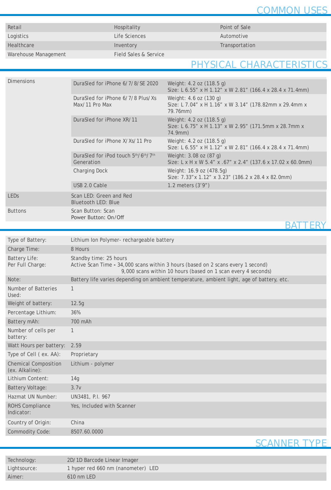#### COMMON USES

| Retail               | Hospitality           | Point of Sal |
|----------------------|-----------------------|--------------|
| Logistics            | Life Sciences         | Automotive   |
| Healthcare           | Inventory             | Transportat  |
| Warehouse Management | Field Sales & Service |              |

**Retail Hospitality** Point of Sale

Transportation

#### PHYSICAL CHARACTERISTICS

| <b>Dimensions</b> | DuraSled for iPhone 6/7/8/SE 2020                     | Weight: 4.2 oz (118.5 g)<br>Size: L 6.55" x H 1.12" x W 2.81" (166.4 x 28.4 x 71.4mm)        |
|-------------------|-------------------------------------------------------|----------------------------------------------------------------------------------------------|
|                   | DuraSled for iPhone 6/7/8 Plus/Xs<br>Max/11 Pro Max   | Weight: 4.6 oz (130 g)<br>Size: L 7.04" x H 1.16" x W 3.14" (178.82mm x 29.4mm x<br>79.76mm) |
|                   | DuraSled for iPhone XR/11                             | Weight: 4.2 oz (118.5 g)<br>Size: L 6.75" x H 1.13" x W 2.95" (171.5mm x 28.7mm x<br>74.9mm) |
|                   | DuraSled for iPhone X/Xs/11 Pro                       | Weight: 4.2 oz (118.5 g)<br>Size: L 6.55" x H 1.12" x W 2.81" (166.4 x 28.4 x 71.4mm)        |
|                   | DuraSled for iPod touch 5th/6th/7th<br>Generation     | Weight: 3.08 oz (87 g)<br>Size: L x H x W 5.4" x .67" x 2.4" (137.6 x 17.02 x 60.0mm)        |
|                   | <b>Charging Dock</b>                                  | Weight: 16.9 oz (478.5g)<br>Size: 7.33" x 1.12" x 3.23" (186.2 x 28.4 x 82.0mm)              |
|                   | USB 2.0 Cable                                         | 1.2 meters $(3'9'')$                                                                         |
| <b>LEDS</b>       | Scan LED: Green and Red<br><b>Bluetooth LED: Blue</b> |                                                                                              |
| <b>Buttons</b>    | Scan Button: Scan<br>Power Button: On/Off             |                                                                                              |
|                   |                                                       |                                                                                              |

Type of Battery: Lithium Ion Polymer- rechargeable battery Charge Time: 8 Hours Battery Life: Per Full Charge: Standby time: 25 hours Active Scan Time **-** 34,000 scans within 3 hours (based on 2 scans every 1 second) 9,000 scans within 10 hours (based on 1 scan every 4 seconds) Note: Battery life varies depending on ambient temperature, ambient light, age of battery, etc. Number of Batteries Used: 1 Weight of battery: 12.5g Percentage Lithium: 36% Battery mAh: 700 mAh Number of cells per battery: 1 Watt Hours per battery: 2.59 Type of Cell ( ex. AA): Proprietary Chemical Composition (ex. Alkaline): Lithium - polymer Lithium Content: 14g Battery Voltage: 3.7v Hazmat UN Number: UN3481, P.I. 967 ROHS Compliance Indicator: Yes, Included with Scanner Country of Origin: China Commodity Code: 8507.60.0000

#### SCANNER TYPE

| Technology:  | 2D/1D Barcode Linear Imager        |  |
|--------------|------------------------------------|--|
| Lightsource: | 1 hyper red 660 nm (nanometer) LED |  |
| Aimer:       | $610 \text{ nm}$ LED               |  |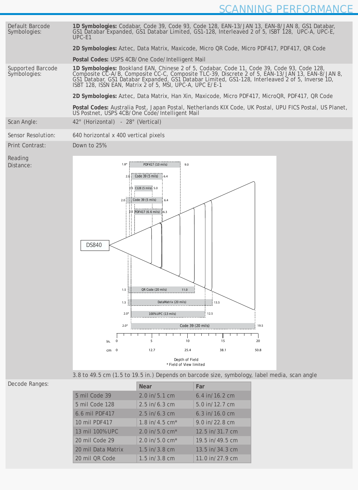

|                    | <b>Near</b>                         | Far             |
|--------------------|-------------------------------------|-----------------|
| 5 mil Code 39      | $2.0$ in/5.1 cm                     | 6.4 in/16.2 cm  |
| 5 mil Code 128     | $2.5 \text{ in/6.3 cm}$             | 5.0 in/12.7 cm  |
| 6.6 mil PDF417     | $2.5 \text{ in/6.3 cm}$             | 6.3 in/16.0 cm  |
| 10 mil PDF417      | 1.8 in/4.5 $cm*$                    | 9.0 in/22.8 cm  |
| 13 mil 100% UPC    | $2.0 \text{ in} / 5.0 \text{ cm}^*$ | 12.5 in/31.7 cm |
| 20 mil Code 29     | $2.0 \text{ in} / 5.0 \text{ cm}^*$ | 19.5 in/49.5 cm |
| 20 mil Data Matrix | $1.5 \text{ in} / 3.8 \text{ cm}$   | 13.5 in/34.3 cm |
| 20 mil QR Code     | $1.5 \text{ in} / 3.8 \text{ cm}$   | 11.0 in/27.9 cm |